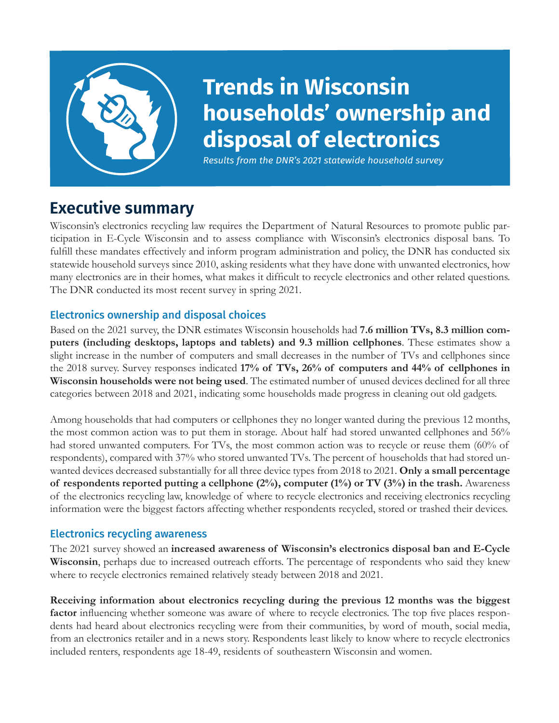

# **Trends in Wisconsin households' ownership and disposal of electronics**

*Results from the DNR's 2021 statewide household survey*

## **Executive summary**

Wisconsin's electronics recycling law requires the Department of Natural Resources to promote public participation in E-Cycle Wisconsin and to assess compliance with Wisconsin's electronics disposal bans. To fulfill these mandates effectively and inform program administration and policy, the DNR has conducted six statewide household surveys since 2010, asking residents what they have done with unwanted electronics, how many electronics are in their homes, what makes it difficult to recycle electronics and other related questions. The DNR conducted its most recent survey in spring 2021.

### Electronics ownership and disposal choices

Based on the 2021 survey, the DNR estimates Wisconsin households had **7.6 million TVs, 8.3 million computers (including desktops, laptops and tablets) and 9.3 million cellphones**. These estimates show a slight increase in the number of computers and small decreases in the number of TVs and cellphones since the 2018 survey. Survey responses indicated **17% of TVs, 26% of computers and 44% of cellphones in Wisconsin households were not being used**. The estimated number of unused devices declined for all three categories between 2018 and 2021, indicating some households made progress in cleaning out old gadgets.

Among households that had computers or cellphones they no longer wanted during the previous 12 months, the most common action was to put them in storage. About half had stored unwanted cellphones and 56% had stored unwanted computers. For TVs, the most common action was to recycle or reuse them (60% of respondents), compared with 37% who stored unwanted TVs. The percent of households that had stored unwanted devices decreased substantially for all three device types from 2018 to 2021. **Only a small percentage of respondents reported putting a cellphone (2%), computer (1%) or TV (3%) in the trash.** Awareness of the electronics recycling law, knowledge of where to recycle electronics and receiving electronics recycling information were the biggest factors affecting whether respondents recycled, stored or trashed their devices.

### Electronics recycling awareness

The 2021 survey showed an **increased awareness of Wisconsin's electronics disposal ban and E-Cycle Wisconsin**, perhaps due to increased outreach efforts. The percentage of respondents who said they knew where to recycle electronics remained relatively steady between 2018 and 2021.

**Receiving information about electronics recycling during the previous 12 months was the biggest factor** influencing whether someone was aware of where to recycle electronics. The top five places respondents had heard about electronics recycling were from their communities, by word of mouth, social media, from an electronics retailer and in a news story. Respondents least likely to know where to recycle electronics included renters, respondents age 18-49, residents of southeastern Wisconsin and women.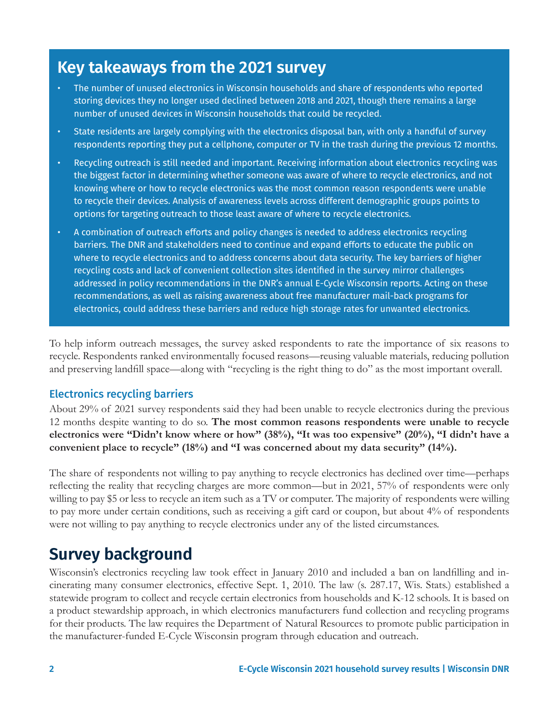### **Key takeaways from the 2021 survey**

- The number of unused electronics in Wisconsin households and share of respondents who reported storing devices they no longer used declined between 2018 and 2021, though there remains a large number of unused devices in Wisconsin households that could be recycled.
- State residents are largely complying with the electronics disposal ban, with only a handful of survey respondents reporting they put a cellphone, computer or TV in the trash during the previous 12 months.
- Recycling outreach is still needed and important. Receiving information about electronics recycling was the biggest factor in determining whether someone was aware of where to recycle electronics, and not knowing where or how to recycle electronics was the most common reason respondents were unable to recycle their devices. Analysis of awareness levels across different demographic groups points to options for targeting outreach to those least aware of where to recycle electronics.
- A combination of outreach efforts and policy changes is needed to address electronics recycling barriers. The DNR and stakeholders need to continue and expand efforts to educate the public on where to recycle electronics and to address concerns about data security. The key barriers of higher recycling costs and lack of convenient collection sites identified in the survey mirror challenges addressed in policy recommendations in the DNR's annual E-Cycle Wisconsin reports. Acting on these recommendations, as well as raising awareness about free manufacturer mail-back programs for electronics, could address these barriers and reduce high storage rates for unwanted electronics.

To help inform outreach messages, the survey asked respondents to rate the importance of six reasons to recycle. Respondents ranked environmentally focused reasons—reusing valuable materials, reducing pollution and preserving landfill space—along with "recycling is the right thing to do" as the most important overall.

#### Electronics recycling barriers

About 29% of 2021 survey respondents said they had been unable to recycle electronics during the previous 12 months despite wanting to do so. **The most common reasons respondents were unable to recycle electronics were "Didn't know where or how" (38%), "It was too expensive" (20%), "I didn't have a convenient place to recycle" (18%) and "I was concerned about my data security" (14%).**

The share of respondents not willing to pay anything to recycle electronics has declined over time—perhaps reflecting the reality that recycling charges are more common—but in 2021, 57% of respondents were only willing to pay \$5 or less to recycle an item such as a TV or computer. The majority of respondents were willing to pay more under certain conditions, such as receiving a gift card or coupon, but about 4% of respondents were not willing to pay anything to recycle electronics under any of the listed circumstances.

### **Survey background**

Wisconsin's electronics recycling law took effect in January 2010 and included a ban on landfilling and incinerating many consumer electronics, effective Sept. 1, 2010. The law (s. 287.17, Wis. Stats.) established a statewide program to collect and recycle certain electronics from households and K-12 schools. It is based on a product stewardship approach, in which electronics manufacturers fund collection and recycling programs for their products. The law requires the Department of Natural Resources to promote public participation in the manufacturer-funded E-Cycle Wisconsin program through education and outreach.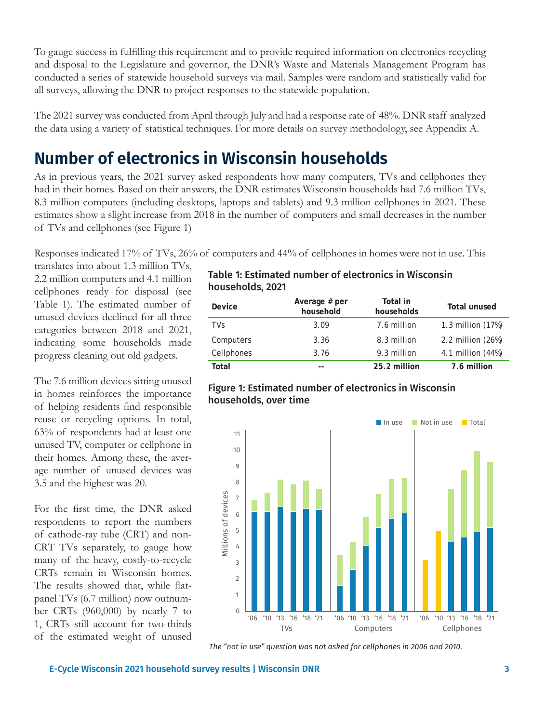To gauge success in fulfilling this requirement and to provide required information on electronics recycling and disposal to the Legislature and governor, the DNR's Waste and Materials Management Program has conducted a series of statewide household surveys via mail. Samples were random and statistically valid for all surveys, allowing the DNR to project responses to the statewide population.

The 2021 survey was conducted from April through July and had a response rate of 48%. DNR staff analyzed the data using a variety of statistical techniques. For more details on survey methodology, see Appendix A.

## **Number of electronics in Wisconsin households**

As in previous years, the 2021 survey asked respondents how many computers, TVs and cellphones they had in their homes. Based on their answers, the DNR estimates Wisconsin households had 7.6 million TVs, 8.3 million computers (including desktops, laptops and tablets) and 9.3 million cellphones in 2021. These estimates show a slight increase from 2018 in the number of computers and small decreases in the number of TVs and cellphones (see Figure 1)

Responses indicated 17% of TVs, 26% of computers and 44% of cellphones in homes were not in use. This

translates into about 1.3 million TVs, 2.2 million computers and 4.1 million cellphones ready for disposal (see Table 1). The estimated number of unused devices declined for all three categories between 2018 and 2021, indicating some households made progress cleaning out old gadgets.

The 7.6 million devices sitting unused in homes reinforces the importance of helping residents find responsible reuse or recycling options. In total, 63% of respondents had at least one unused TV, computer or cellphone in their homes. Among these, the average number of unused devices was 3.5 and the highest was 20.

For the first time, the DNR asked respondents to report the numbers of cathode-ray tube (CRT) and non-CRT TVs separately, to gauge how many of the heavy, costly-to-recycle CRTs remain in Wisconsin homes. The results showed that, while flatpanel TVs (6.7 million) now outnumber CRTs (960,000) by nearly 7 to 1, CRTs still account for two-thirds of the estimated weight of unused

#### Table 1: Estimated number of electronics in Wisconsin households, 2021

| Device     | Average # per<br>household | Total in<br>households | <b>Total unused</b> |
|------------|----------------------------|------------------------|---------------------|
| <b>TVs</b> | 3.09                       | 7.6 million            | 1.3 million (17%)   |
| Computers  | 3.36                       | 8.3 million            | 2.2 million (26%)   |
| Cellphones | 3.76                       | 9.3 million            | 4.1 million (44%)   |
| Total      |                            | 25.2 million           | 7.6 million         |



#### Figure 1: Estimated number of electronics in Wisconsin households, over time

*The "not in use" question was not asked for cellphones in 2006 and 2010.*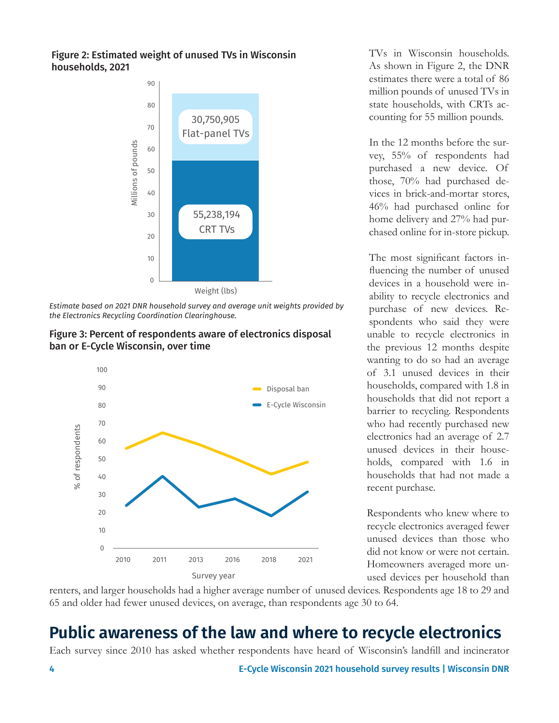#### Figure 2: Estimated weight of unused TVs in Wisconsin households, 2021



*Estimate based on 2021 DNR household survey and average unit weights provided by the Electronics Recycling Coordination Clearinghouse.*





TVs in Wisconsin households. As shown in Figure 2, the DNR estimates there were a total of 86 million pounds of unused TVs in state households, with CRTs accounting for 55 million pounds.

In the 12 months before the survey, 55% of respondents had purchased a new device. Of those, 70% had purchased devices in brick-and-mortar stores, 46% had purchased online for home delivery and 27% had purchased online for in-store pickup.

The most significant factors influencing the number of unused devices in a household were inability to recycle electronics and purchase of new devices. Respondents who said they were unable to recycle electronics in the previous 12 months despite wanting to do so had an average of 3.1 unused devices in their households, compared with 1.8 in households that did not report a barrier to recycling. Respondents who had recently purchased new electronics had an average of 2.7 unused devices in their households, compared with 1.6 in households that had not made a recent purchase.

Respondents who knew where to recycle electronics averaged fewer unused devices than those who did not know or were not certain. Homeowners averaged more unused devices per household than

renters, and larger households had a higher average number of unused devices. Respondents age 18 to 29 and 65 and older had fewer unused devices, on average, than respondents age 30 to 64.

## **Public awareness of the law and where to recycle electronics**

Each survey since 2010 has asked whether respondents have heard of Wisconsin's landfill and incinerator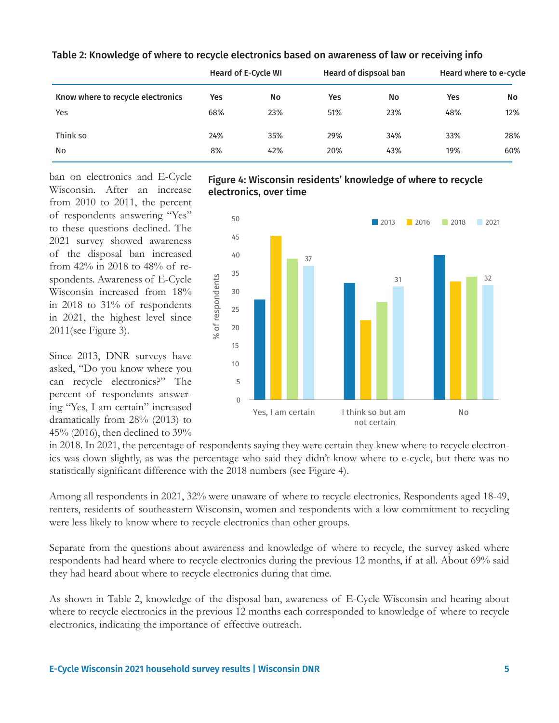|                                   | <b>Heard of E-Cycle WI</b> |     | Heard of dispsoal ban |     | Heard where to e-cycle |           |
|-----------------------------------|----------------------------|-----|-----------------------|-----|------------------------|-----------|
| Know where to recycle electronics | Yes                        | No  | Yes                   | No  | Yes                    | <b>No</b> |
| Yes                               | 68%                        | 23% | 51%                   | 23% | 48%                    | 12%       |
| Think so                          | 24%                        | 35% | 29%                   | 34% | 33%                    | 28%       |
| No                                | 8%                         | 42% | 20%                   | 43% | 19%                    | 60%       |

Table 2: Knowledge of where to recycle electronics based on awareness of law or receiving info

ban on electronics and E-Cycle Wisconsin. After an increase from 2010 to 2011, the percent of respondents answering "Yes" to these questions declined. The 2021 survey showed awareness of the disposal ban increased from 42% in 2018 to 48% of respondents. Awareness of E-Cycle Wisconsin increased from 18% in 2018 to 31% of respondents in 2021, the highest level since 2011(see Figure 3).

Since 2013, DNR surveys have asked, "Do you know where you can recycle electronics?" The percent of respondents answering "Yes, I am certain" increased dramatically from 28% (2013) to 45% (2016), then declined to 39%

#### Figure 4: Wisconsin residents' knowledge of where to recycle electronics, over time



in 2018. In 2021, the percentage of respondents saying they were certain they knew where to recycle electronics was down slightly, as was the percentage who said they didn't know where to e-cycle, but there was no statistically significant difference with the 2018 numbers (see Figure 4).

Among all respondents in 2021, 32% were unaware of where to recycle electronics. Respondents aged 18-49, renters, residents of southeastern Wisconsin, women and respondents with a low commitment to recycling were less likely to know where to recycle electronics than other groups.

Separate from the questions about awareness and knowledge of where to recycle, the survey asked where respondents had heard where to recycle electronics during the previous 12 months, if at all. About 69% said they had heard about where to recycle electronics during that time.

As shown in Table 2, knowledge of the disposal ban, awareness of E-Cycle Wisconsin and hearing about where to recycle electronics in the previous 12 months each corresponded to knowledge of where to recycle electronics, indicating the importance of effective outreach.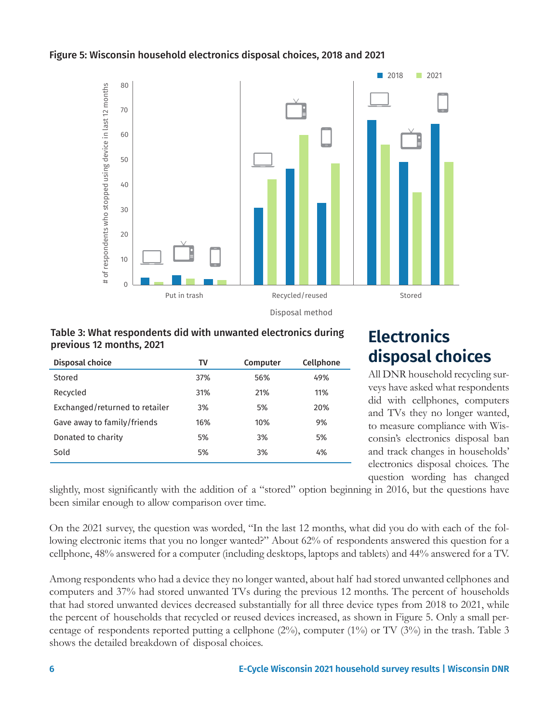#### Figure 5: Wisconsin household electronics disposal choices, 2018 and 2021



Disposal method

#### Table 3: What respondents did with unwanted electronics during previous 12 months, 2021

| Disposal choice                | TV         | Computer | Cellphone |
|--------------------------------|------------|----------|-----------|
| Stored                         | <b>37%</b> | 56%      | 49%       |
| Recycled                       | 31%        | 21%      | 11%       |
| Exchanged/returned to retailer | 3%         | 5%       | 20%       |
| Gave away to family/friends    | 16%        | 10%      | 9%        |
| Donated to charity             | 5%         | 3%       | 5%        |
| Sold                           | 5%         | 3%       | 4%        |
|                                |            |          |           |

### **Electronics disposal choices**

All DNR household recycling surveys have asked what respondents did with cellphones, computers and TVs they no longer wanted, to measure compliance with Wisconsin's electronics disposal ban and track changes in households' electronics disposal choices. The question wording has changed

slightly, most significantly with the addition of a "stored" option beginning in 2016, but the questions have been similar enough to allow comparison over time.

On the 2021 survey, the question was worded, "In the last 12 months, what did you do with each of the following electronic items that you no longer wanted?" About 62% of respondents answered this question for a cellphone, 48% answered for a computer (including desktops, laptops and tablets) and 44% answered for a TV.

Among respondents who had a device they no longer wanted, about half had stored unwanted cellphones and computers and 37% had stored unwanted TVs during the previous 12 months. The percent of households that had stored unwanted devices decreased substantially for all three device types from 2018 to 2021, while the percent of households that recycled or reused devices increased, as shown in Figure 5. Only a small percentage of respondents reported putting a cellphone  $(2\%)$ , computer  $(1\%)$  or TV  $(3\%)$  in the trash. Table 3 shows the detailed breakdown of disposal choices.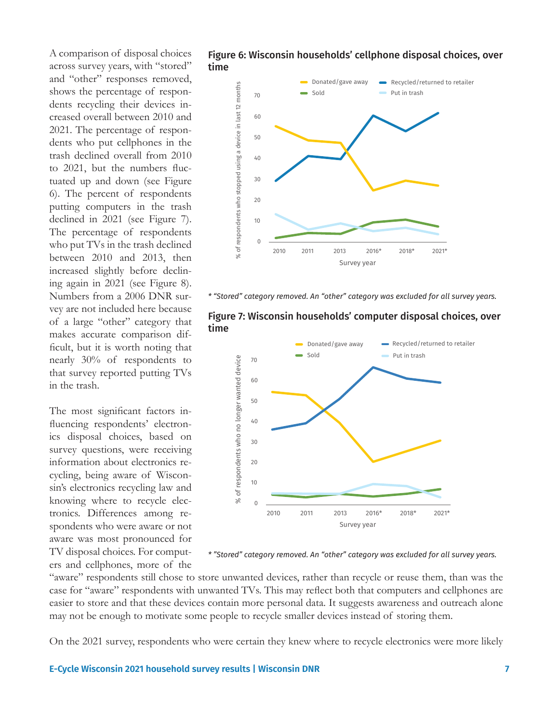A comparison of disposal choices across survey years, with "stored" and "other" responses removed, shows the percentage of respondents recycling their devices increased overall between 2010 and 2021. The percentage of respondents who put cellphones in the trash declined overall from 2010 to 2021, but the numbers fluctuated up and down (see Figure 6). The percent of respondents putting computers in the trash declined in 2021 (see Figure 7). The percentage of respondents who put TVs in the trash declined between 2010 and 2013, then increased slightly before declining again in 2021 (see Figure 8). Numbers from a 2006 DNR survey are not included here because of a large "other" category that makes accurate comparison difficult, but it is worth noting that nearly 30% of respondents to that survey reported putting TVs in the trash.

The most significant factors influencing respondents' electronics disposal choices, based on survey questions, were receiving information about electronics recycling, being aware of Wisconsin's electronics recycling law and knowing where to recycle electronics. Differences among respondents who were aware or not aware was most pronounced for TV disposal choices. For computers and cellphones, more of the





*\* "Stored" category removed. An "other" category was excluded for all survey years.*



Figure 7: Wisconsin households' computer disposal choices, over time

*\* "Stored" category removed. An "other" category was excluded for all survey years.*

"aware" respondents still chose to store unwanted devices, rather than recycle or reuse them, than was the case for "aware" respondents with unwanted TVs. This may reflect both that computers and cellphones are easier to store and that these devices contain more personal data. It suggests awareness and outreach alone may not be enough to motivate some people to recycle smaller devices instead of storing them.

On the 2021 survey, respondents who were certain they knew where to recycle electronics were more likely

**E-Cycle Wisconsin 2021 household survey results | Wisconsin DNR 7**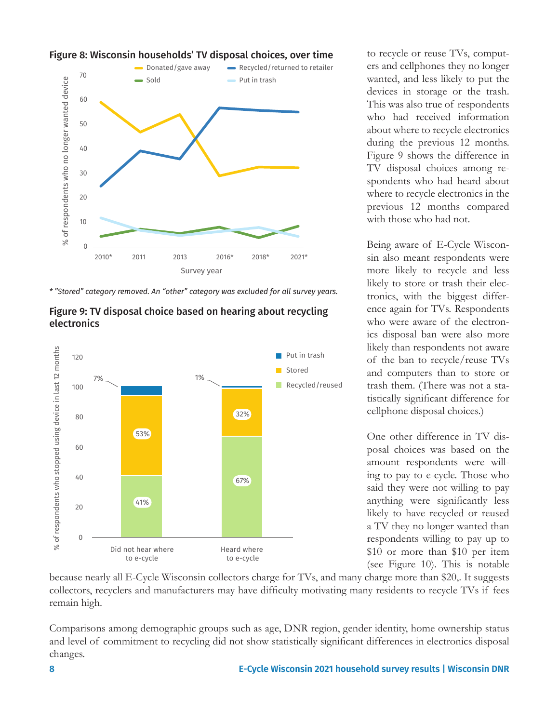

#### Figure 8: Wisconsin households' TV disposal choices, over time





to e-cycle



to recycle or reuse TVs, computers and cellphones they no longer wanted, and less likely to put the devices in storage or the trash. This was also true of respondents who had received information about where to recycle electronics during the previous 12 months. Figure 9 shows the difference in TV disposal choices among respondents who had heard about where to recycle electronics in the previous 12 months compared with those who had not.

Being aware of E-Cycle Wisconsin also meant respondents were more likely to recycle and less likely to store or trash their electronics, with the biggest difference again for TVs. Respondents who were aware of the electronics disposal ban were also more likely than respondents not aware of the ban to recycle/reuse TVs and computers than to store or trash them. (There was not a statistically significant difference for cellphone disposal choices.)

One other difference in TV disposal choices was based on the amount respondents were willing to pay to e-cycle. Those who said they were not willing to pay anything were significantly less likely to have recycled or reused a TV they no longer wanted than respondents willing to pay up to \$10 or more than \$10 per item (see Figure 10). This is notable

because nearly all E-Cycle Wisconsin collectors charge for TVs, and many charge more than \$20,. It suggests collectors, recyclers and manufacturers may have difficulty motivating many residents to recycle TVs if fees remain high.

to e-cycle

Comparisons among demographic groups such as age, DNR region, gender identity, home ownership status and level of commitment to recycling did not show statistically significant differences in electronics disposal changes.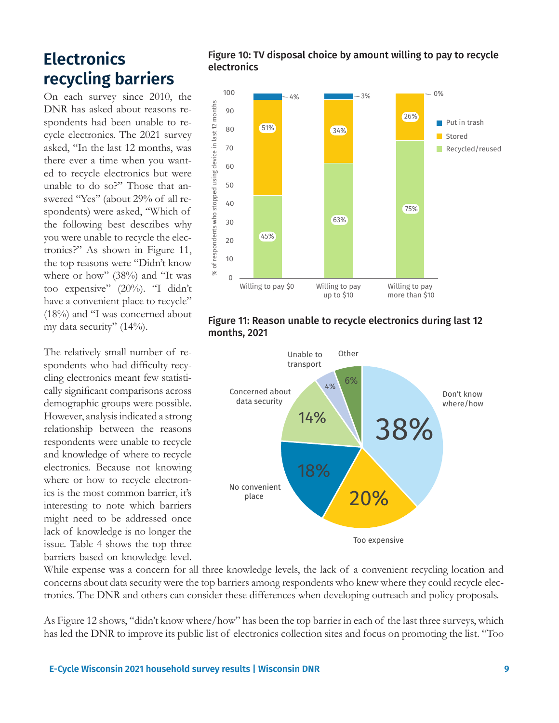### **Electronics recycling barriers**

On each survey since 2010, the DNR has asked about reasons respondents had been unable to recycle electronics. The 2021 survey asked, "In the last 12 months, was there ever a time when you wanted to recycle electronics but were unable to do so?" Those that answered "Yes" (about 29% of all respondents) were asked, "Which of the following best describes why you were unable to recycle the electronics?" As shown in Figure 11, the top reasons were "Didn't know where or how" (38%) and "It was too expensive" (20%). "I didn't have a convenient place to recycle" (18%) and "I was concerned about my data security" (14%).

The relatively small number of respondents who had difficulty recycling electronics meant few statistically significant comparisons across demographic groups were possible. However, analysis indicated a strong relationship between the reasons respondents were unable to recycle and knowledge of where to recycle electronics. Because not knowing where or how to recycle electronics is the most common barrier, it's interesting to note which barriers might need to be addressed once lack of knowledge is no longer the issue. Table 4 shows the top three barriers based on knowledge level.

#### Figure 10: TV disposal choice by amount willing to pay to recycle electronics



#### Figure 11: Reason unable to recycle electronics during last 12 months, 2021



While expense was a concern for all three knowledge levels, the lack of a convenient recycling location and concerns about data security were the top barriers among respondents who knew where they could recycle electronics. The DNR and others can consider these differences when developing outreach and policy proposals.

As Figure 12 shows, "didn't know where/how" has been the top barrier in each of the last three surveys, which has led the DNR to improve its public list of electronics collection sites and focus on promoting the list. "Too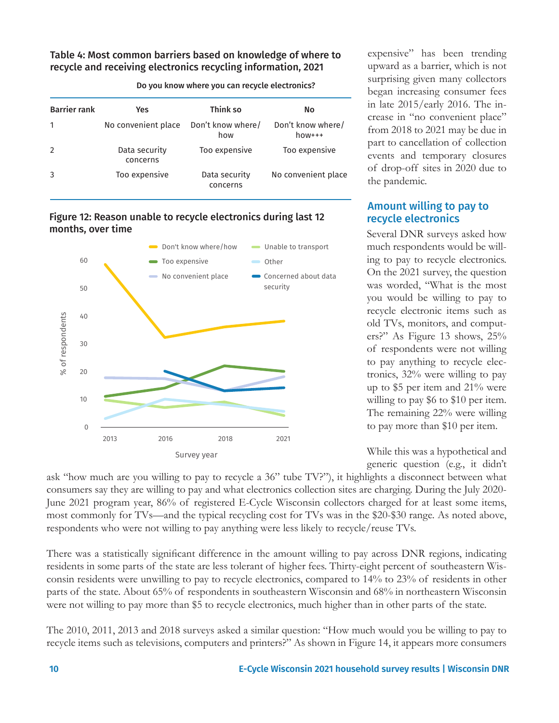#### Table 4: Most common barriers based on knowledge of where to recycle and receiving electronics recycling information, 2021

| <b>Barrier rank</b> | <b>Yes</b>                | Think so                  | No                           |
|---------------------|---------------------------|---------------------------|------------------------------|
|                     | No convenient place       | Don't know where/<br>how  | Don't know where/<br>$how++$ |
| $\overline{2}$      | Data security<br>concerns | Too expensive             | Too expensive                |
|                     | Too expensive             | Data security<br>concerns | No convenient place          |

#### Do you know where you can recycle electronics?

Figure 12: Reason unable to recycle electronics during last 12 months, over time



expensive" has been trending upward as a barrier, which is not surprising given many collectors began increasing consumer fees in late 2015/early 2016. The increase in "no convenient place" from 2018 to 2021 may be due in part to cancellation of collection events and temporary closures of drop-off sites in 2020 due to the pandemic.

#### Amount willing to pay to recycle electronics

Several DNR surveys asked how much respondents would be willing to pay to recycle electronics. On the 2021 survey, the question was worded, "What is the most you would be willing to pay to recycle electronic items such as old TVs, monitors, and computers?" As Figure 13 shows, 25% of respondents were not willing to pay anything to recycle electronics, 32% were willing to pay up to \$5 per item and 21% were willing to pay \$6 to \$10 per item. The remaining 22% were willing to pay more than \$10 per item.

While this was a hypothetical and generic question (e.g., it didn't

ask "how much are you willing to pay to recycle a 36" tube TV?"), it highlights a disconnect between what consumers say they are willing to pay and what electronics collection sites are charging. During the July 2020- June 2021 program year, 86% of registered E-Cycle Wisconsin collectors charged for at least some items, most commonly for TVs—and the typical recycling cost for TVs was in the \$20-\$30 range. As noted above, respondents who were not willing to pay anything were less likely to recycle/reuse TVs.

There was a statistically significant difference in the amount willing to pay across DNR regions, indicating residents in some parts of the state are less tolerant of higher fees. Thirty-eight percent of southeastern Wisconsin residents were unwilling to pay to recycle electronics, compared to 14% to 23% of residents in other parts of the state. About 65% of respondents in southeastern Wisconsin and 68% in northeastern Wisconsin were not willing to pay more than \$5 to recycle electronics, much higher than in other parts of the state.

The 2010, 2011, 2013 and 2018 surveys asked a similar question: "How much would you be willing to pay to recycle items such as televisions, computers and printers?" As shown in Figure 14, it appears more consumers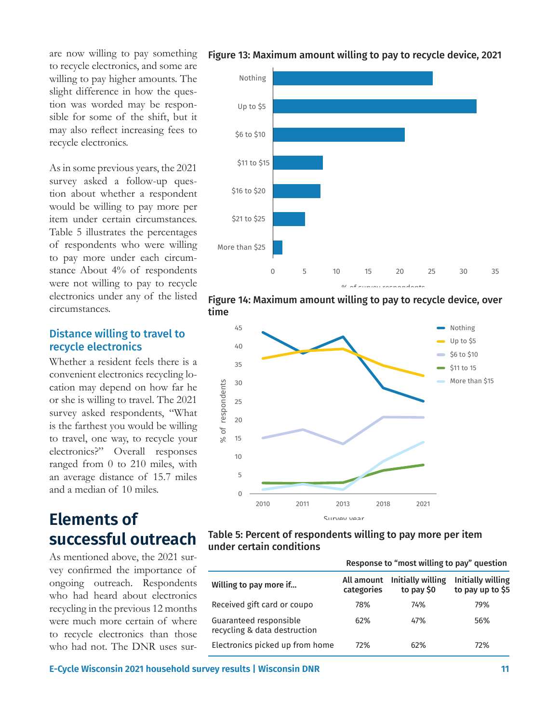are now willing to pay something to recycle electronics, and some are willing to pay higher amounts. The slight difference in how the question was worded may be responsible for some of the shift, but it may also reflect increasing fees to recycle electronics.

As in some previous years, the 2021 survey asked a follow-up question about whether a respondent would be willing to pay more per item under certain circumstances. Table 5 illustrates the percentages of respondents who were willing to pay more under each circumstance About 4% of respondents were not willing to pay to recycle electronics under any of the listed circumstances.

#### Distance willing to travel to recycle electronics

Whether a resident feels there is a convenient electronics recycling location may depend on how far he or she is willing to travel. The 2021 survey asked respondents, "What is the farthest you would be willing to travel, one way, to recycle your electronics?" Overall responses ranged from 0 to 210 miles, with an average distance of 15.7 miles and a median of 10 miles.

## **Elements of successful outreach**

As mentioned above, the 2021 survey confirmed the importance of ongoing outreach. Respondents who had heard about electronics recycling in the previous 12 months were much more certain of where to recycle electronics than those who had not. The DNR uses sur-











|                                                        | Response to "most willing to pay" question |                                  |                                       |
|--------------------------------------------------------|--------------------------------------------|----------------------------------|---------------------------------------|
| Willing to pay more if                                 | All amount<br>categories                   | Initially willing<br>to pay $$0$ | Initially willing<br>to pay up to \$5 |
| Received gift card or coupo                            | 78%                                        | 74%                              | 79%                                   |
| Guaranteed responsible<br>recycling & data destruction | 62%                                        | 47%                              | 56%                                   |
| Electronics picked up from home                        | 72%                                        | 62%                              | 72%                                   |

**E-Cycle Wisconsin 2021 household survey results | Wisconsin DNR 11**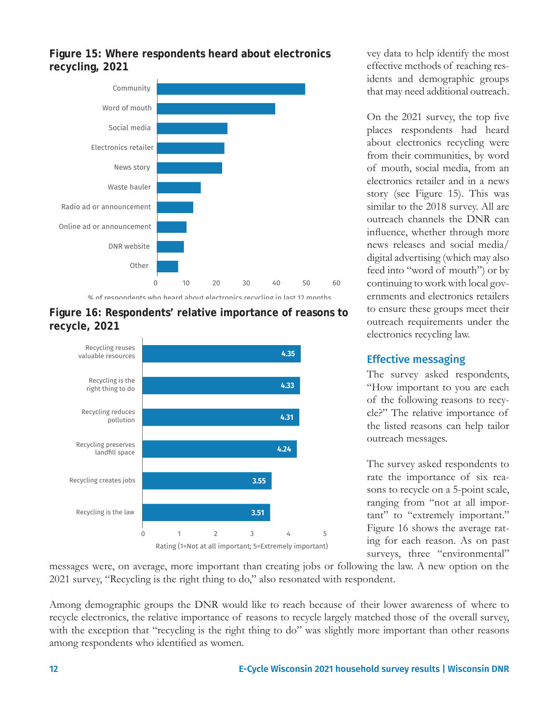

#### **Figure 15: Where respondents heard about electronics recycling, 2021**

% of respondents who heard about electronics recycling in last 12 months





vey data to help identify the most effective methods of reaching residents and demographic groups that may need additional outreach.

On the 2021 survey, the top five places respondents had heard about electronics recycling were from their communities, by word of mouth, social media, from an electronics retailer and in a news story (see Figure 15). This was similar to the 2018 survey. All are outreach channels the DNR can influence, whether through more news releases and social media/ digital advertising (which may also feed into "word of mouth") or by continuing to work with local governments and electronics retailers to ensure these groups meet their outreach requirements under the electronics recycling law.

#### Effective messaging

The survey asked respondents, "How important to you are each of the following reasons to recycle?" The relative importance of the listed reasons can help tailor outreach messages.

The survey asked respondents to rate the importance of six reasons to recycle on a 5-point scale, ranging from "not at all important" to "extremely important." Figure 16 shows the average rating for each reason. As on past surveys, three "environmental"

messages were, on average, more important than creating jobs or following the law. A new option on the 2021 survey, "Recycling is the right thing to do," also resonated with respondent.

0 1 2 3 4 5

Rating (1=Not at all important; 5=Extremely important)

Among demographic groups the DNR would like to reach because of their lower awareness of where to recycle electronics, the relative importance of reasons to recycle largely matched those of the overall survey, with the exception that "recycling is the right thing to do" was slightly more important than other reasons among respondents who identified as women.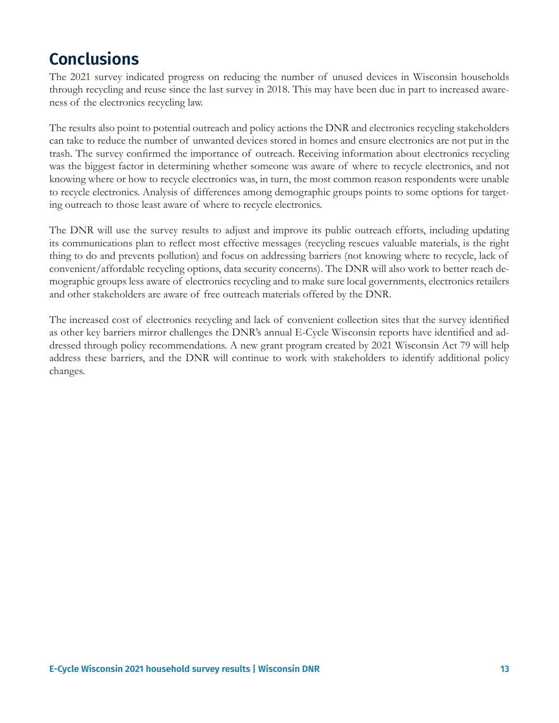### **Conclusions**

The 2021 survey indicated progress on reducing the number of unused devices in Wisconsin households through recycling and reuse since the last survey in 2018. This may have been due in part to increased awareness of the electronics recycling law.

The results also point to potential outreach and policy actions the DNR and electronics recycling stakeholders can take to reduce the number of unwanted devices stored in homes and ensure electronics are not put in the trash. The survey confirmed the importance of outreach. Receiving information about electronics recycling was the biggest factor in determining whether someone was aware of where to recycle electronics, and not knowing where or how to recycle electronics was, in turn, the most common reason respondents were unable to recycle electronics. Analysis of differences among demographic groups points to some options for targeting outreach to those least aware of where to recycle electronics.

The DNR will use the survey results to adjust and improve its public outreach efforts, including updating its communications plan to reflect most effective messages (recycling rescues valuable materials, is the right thing to do and prevents pollution) and focus on addressing barriers (not knowing where to recycle, lack of convenient/affordable recycling options, data security concerns). The DNR will also work to better reach demographic groups less aware of electronics recycling and to make sure local governments, electronics retailers and other stakeholders are aware of free outreach materials offered by the DNR.

The increased cost of electronics recycling and lack of convenient collection sites that the survey identified as other key barriers mirror challenges the DNR's annual E-Cycle Wisconsin reports have identified and addressed through policy recommendations. A new grant program created by 2021 Wisconsin Act 79 will help address these barriers, and the DNR will continue to work with stakeholders to identify additional policy changes.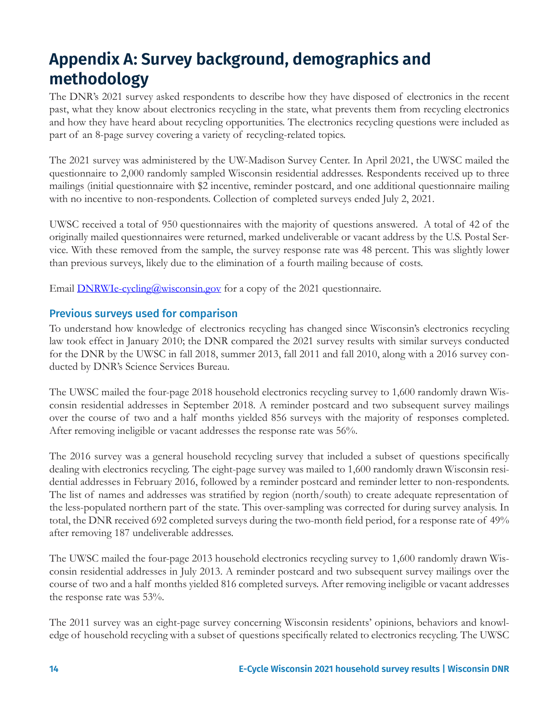# **Appendix A: Survey background, demographics and methodology**

The DNR's 2021 survey asked respondents to describe how they have disposed of electronics in the recent past, what they know about electronics recycling in the state, what prevents them from recycling electronics and how they have heard about recycling opportunities. The electronics recycling questions were included as part of an 8-page survey covering a variety of recycling-related topics.

The 2021 survey was administered by the UW-Madison Survey Center. In April 2021, the UWSC mailed the questionnaire to 2,000 randomly sampled Wisconsin residential addresses. Respondents received up to three mailings (initial questionnaire with \$2 incentive, reminder postcard, and one additional questionnaire mailing with no incentive to non-respondents. Collection of completed surveys ended July 2, 2021.

UWSC received a total of 950 questionnaires with the majority of questions answered. A total of 42 of the originally mailed questionnaires were returned, marked undeliverable or vacant address by the U.S. Postal Service. With these removed from the sample, the survey response rate was 48 percent. This was slightly lower than previous surveys, likely due to the elimination of a fourth mailing because of costs.

Email **DNRWI**e-cycling@wisconsin.gov for a copy of the 2021 questionnaire.

#### Previous surveys used for comparison

To understand how knowledge of electronics recycling has changed since Wisconsin's electronics recycling law took effect in January 2010; the DNR compared the 2021 survey results with similar surveys conducted for the DNR by the UWSC in fall 2018, summer 2013, fall 2011 and fall 2010, along with a 2016 survey conducted by DNR's Science Services Bureau.

The UWSC mailed the four-page 2018 household electronics recycling survey to 1,600 randomly drawn Wisconsin residential addresses in September 2018. A reminder postcard and two subsequent survey mailings over the course of two and a half months yielded 856 surveys with the majority of responses completed. After removing ineligible or vacant addresses the response rate was 56%.

The 2016 survey was a general household recycling survey that included a subset of questions specifically dealing with electronics recycling. The eight-page survey was mailed to 1,600 randomly drawn Wisconsin residential addresses in February 2016, followed by a reminder postcard and reminder letter to non-respondents. The list of names and addresses was stratified by region (north/south) to create adequate representation of the less-populated northern part of the state. This over-sampling was corrected for during survey analysis. In total, the DNR received 692 completed surveys during the two-month field period, for a response rate of 49% after removing 187 undeliverable addresses.

The UWSC mailed the four-page 2013 household electronics recycling survey to 1,600 randomly drawn Wisconsin residential addresses in July 2013. A reminder postcard and two subsequent survey mailings over the course of two and a half months yielded 816 completed surveys. After removing ineligible or vacant addresses the response rate was 53%.

The 2011 survey was an eight-page survey concerning Wisconsin residents' opinions, behaviors and knowledge of household recycling with a subset of questions specifically related to electronics recycling. The UWSC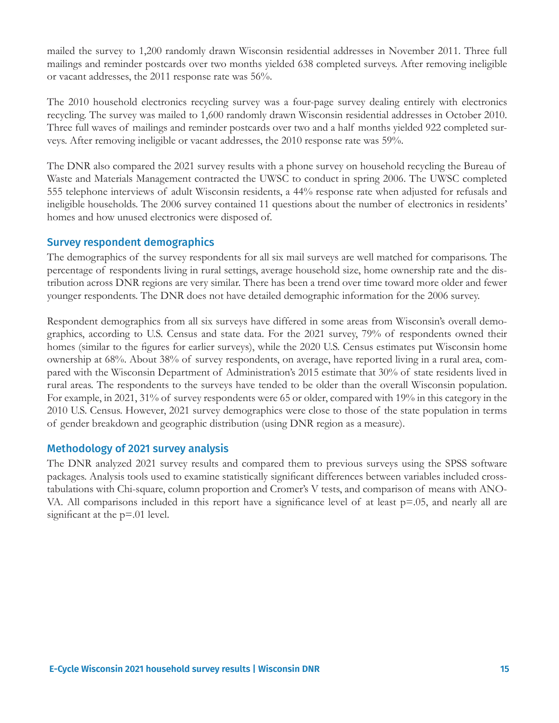mailed the survey to 1,200 randomly drawn Wisconsin residential addresses in November 2011. Three full mailings and reminder postcards over two months yielded 638 completed surveys. After removing ineligible or vacant addresses, the 2011 response rate was 56%.

The 2010 household electronics recycling survey was a four-page survey dealing entirely with electronics recycling. The survey was mailed to 1,600 randomly drawn Wisconsin residential addresses in October 2010. Three full waves of mailings and reminder postcards over two and a half months yielded 922 completed surveys. After removing ineligible or vacant addresses, the 2010 response rate was 59%.

The DNR also compared the 2021 survey results with a phone survey on household recycling the Bureau of Waste and Materials Management contracted the UWSC to conduct in spring 2006. The UWSC completed 555 telephone interviews of adult Wisconsin residents, a 44% response rate when adjusted for refusals and ineligible households. The 2006 survey contained 11 questions about the number of electronics in residents' homes and how unused electronics were disposed of.

#### Survey respondent demographics

The demographics of the survey respondents for all six mail surveys are well matched for comparisons. The percentage of respondents living in rural settings, average household size, home ownership rate and the distribution across DNR regions are very similar. There has been a trend over time toward more older and fewer younger respondents. The DNR does not have detailed demographic information for the 2006 survey.

Respondent demographics from all six surveys have differed in some areas from Wisconsin's overall demographics, according to U.S. Census and state data. For the 2021 survey, 79% of respondents owned their homes (similar to the figures for earlier surveys), while the 2020 U.S. Census estimates put Wisconsin home ownership at 68%. About 38% of survey respondents, on average, have reported living in a rural area, compared with the Wisconsin Department of Administration's 2015 estimate that 30% of state residents lived in rural areas. The respondents to the surveys have tended to be older than the overall Wisconsin population. For example, in 2021, 31% of survey respondents were 65 or older, compared with 19% in this category in the 2010 U.S. Census. However, 2021 survey demographics were close to those of the state population in terms of gender breakdown and geographic distribution (using DNR region as a measure).

#### Methodology of 2021 survey analysis

The DNR analyzed 2021 survey results and compared them to previous surveys using the SPSS software packages. Analysis tools used to examine statistically significant differences between variables included crosstabulations with Chi-square, column proportion and Cromer's V tests, and comparison of means with ANO-VA. All comparisons included in this report have a significance level of at least p=.05, and nearly all are significant at the  $p=01$  level.